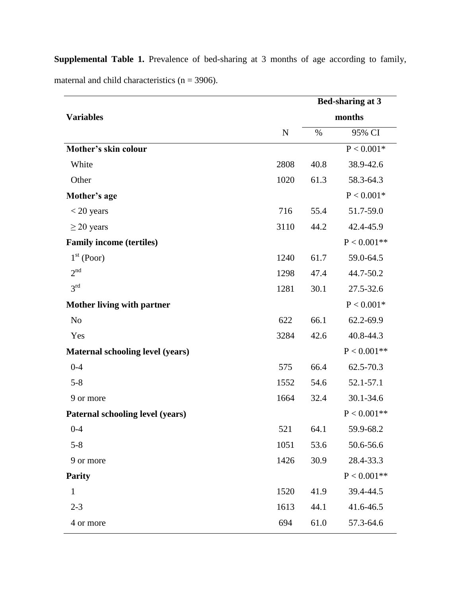|                                         |             |      | <b>Bed-sharing at 3</b> |
|-----------------------------------------|-------------|------|-------------------------|
| <b>Variables</b>                        |             |      | months                  |
|                                         | $\mathbf N$ | $\%$ | 95% CI                  |
| Mother's skin colour                    |             |      | $P < 0.001*$            |
| White                                   | 2808        | 40.8 | 38.9-42.6               |
| Other                                   | 1020        | 61.3 | 58.3-64.3               |
| Mother's age                            |             |      | $P < 0.001*$            |
| $<$ 20 years                            | 716         | 55.4 | 51.7-59.0               |
| $\geq$ 20 years                         | 3110        | 44.2 | 42.4-45.9               |
| <b>Family income (tertiles)</b>         |             |      | $P < 0.001**$           |
| $1st$ (Poor)                            | 1240        | 61.7 | 59.0-64.5               |
| 2 <sup>nd</sup>                         | 1298        | 47.4 | 44.7-50.2               |
| 3 <sup>rd</sup>                         | 1281        | 30.1 | 27.5-32.6               |
| <b>Mother living with partner</b>       |             |      | $P < 0.001*$            |
| N <sub>0</sub>                          | 622         | 66.1 | 62.2-69.9               |
| Yes                                     | 3284        | 42.6 | 40.8-44.3               |
| <b>Maternal schooling level (years)</b> |             |      | $P < 0.001**$           |
| $0 - 4$                                 | 575         | 66.4 | 62.5-70.3               |
| $5 - 8$                                 | 1552        | 54.6 | 52.1-57.1               |
| 9 or more                               | 1664        | 32.4 | 30.1-34.6               |
| Paternal schooling level (years)        |             |      | $P < 0.001**$           |
| $0 - 4$                                 | 521         | 64.1 | 59.9-68.2               |
| $5 - 8$                                 | 1051        | 53.6 | 50.6-56.6               |
| 9 or more                               | 1426        | 30.9 | 28.4-33.3               |
| <b>Parity</b>                           |             |      | $P < 0.001**$           |
| $\mathbf{1}$                            | 1520        | 41.9 | 39.4-44.5               |
| $2 - 3$                                 | 1613        | 44.1 | 41.6-46.5               |
| 4 or more                               | 694         | 61.0 | 57.3-64.6               |

**Supplemental Table 1.** Prevalence of bed-sharing at 3 months of age according to family, maternal and child characteristics  $(n = 3906)$ .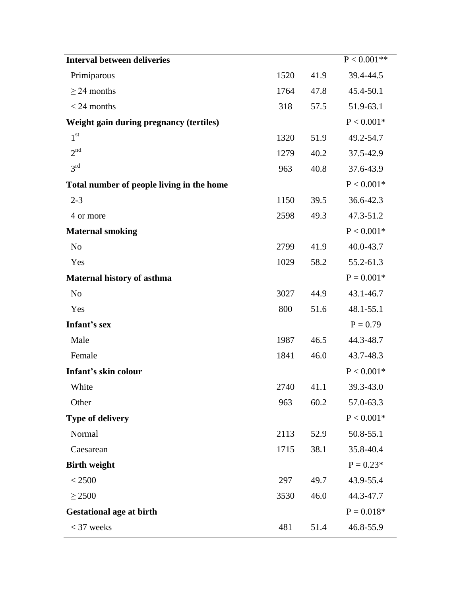| <b>Interval between deliveries</b>        |      |      | $P < 0.001**$         |
|-------------------------------------------|------|------|-----------------------|
| Primiparous                               | 1520 | 41.9 | 39.4-44.5             |
| $\geq$ 24 months                          | 1764 | 47.8 | 45.4-50.1             |
| $<$ 24 months                             | 318  | 57.5 | 51.9-63.1             |
| Weight gain during pregnancy (tertiles)   |      |      | $\mathrm{P} < 0.001*$ |
| 1 <sup>st</sup>                           | 1320 | 51.9 | 49.2-54.7             |
| 2 <sup>nd</sup>                           | 1279 | 40.2 | 37.5-42.9             |
| 3 <sup>rd</sup>                           | 963  | 40.8 | 37.6-43.9             |
| Total number of people living in the home |      |      | $P < 0.001*$          |
| $2 - 3$                                   | 1150 | 39.5 | 36.6-42.3             |
| 4 or more                                 | 2598 | 49.3 | 47.3-51.2             |
| <b>Maternal smoking</b>                   |      |      | $\mathrm{P} < 0.001*$ |
| N <sub>o</sub>                            | 2799 | 41.9 | 40.0-43.7             |
| Yes                                       | 1029 | 58.2 | 55.2-61.3             |
| Maternal history of asthma                |      |      | $P = 0.001*$          |
| N <sub>o</sub>                            | 3027 | 44.9 | 43.1-46.7             |
| Yes                                       | 800  | 51.6 | 48.1-55.1             |
| Infant's sex                              |      |      | $P = 0.79$            |
| Male                                      | 1987 | 46.5 | 44.3-48.7             |
| Female                                    | 1841 | 46.0 | 43.7-48.3             |
| Infant's skin colour                      |      |      | $P < 0.001*$          |
| White                                     | 2740 | 41.1 | 39.3-43.0             |
| Other                                     | 963  | 60.2 | 57.0-63.3             |
| Type of delivery                          |      |      | $P < 0.001*$          |
| Normal                                    | 2113 | 52.9 | 50.8-55.1             |
| Caesarean                                 | 1715 | 38.1 | 35.8-40.4             |
| <b>Birth weight</b>                       |      |      | $P = 0.23*$           |
| < 2500                                    | 297  | 49.7 | 43.9-55.4             |
| $\geq$ 2500                               | 3530 | 46.0 | 44.3-47.7             |
| <b>Gestational age at birth</b>           |      |      | $P = 0.018*$          |
| $<$ 37 weeks                              | 481  | 51.4 | 46.8-55.9             |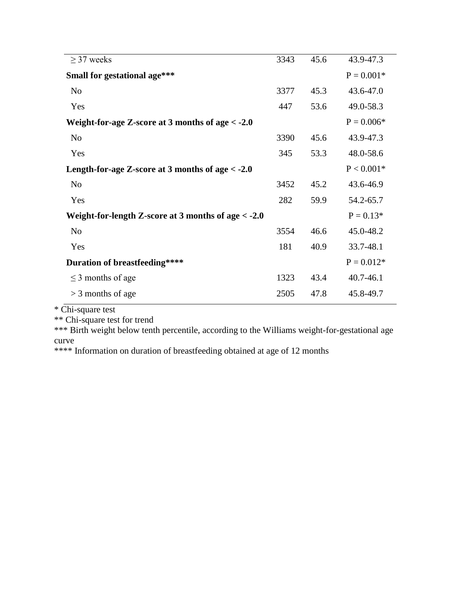| $\geq$ 37 weeks                                       | 3343 | 45.6 | 43.9-47.3     |
|-------------------------------------------------------|------|------|---------------|
| Small for gestational age***                          |      |      | $P = 0.001*$  |
| N <sub>o</sub>                                        | 3377 | 45.3 | 43.6-47.0     |
| Yes                                                   | 447  | 53.6 | 49.0-58.3     |
| Weight-for-age Z-score at 3 months of age $<$ -2.0    |      |      | $P = 0.006*$  |
| N <sub>o</sub>                                        | 3390 | 45.6 | 43.9-47.3     |
| Yes                                                   | 345  | 53.3 | 48.0-58.6     |
| Length-for-age Z-score at 3 months of age $<$ -2.0    |      |      | $P < 0.001*$  |
| N <sub>o</sub>                                        | 3452 | 45.2 | 43.6-46.9     |
| Yes                                                   | 282  | 59.9 | 54.2-65.7     |
| Weight-for-length Z-score at 3 months of age $<$ -2.0 |      |      | $P = 0.13*$   |
| N <sub>o</sub>                                        | 3554 | 46.6 | 45.0-48.2     |
| Yes                                                   | 181  | 40.9 | 33.7-48.1     |
| Duration of breastfeeding****                         |      |      | $P = 0.012*$  |
| $\leq$ 3 months of age                                | 1323 | 43.4 | $40.7 - 46.1$ |
| $>$ 3 months of age                                   | 2505 | 47.8 | 45.8-49.7     |

\* Chi-square test

\*\* Chi-square test for trend

\*\*\* Birth weight below tenth percentile, according to the Williams weight-for-gestational age curve

\*\*\*\* Information on duration of breastfeeding obtained at age of 12 months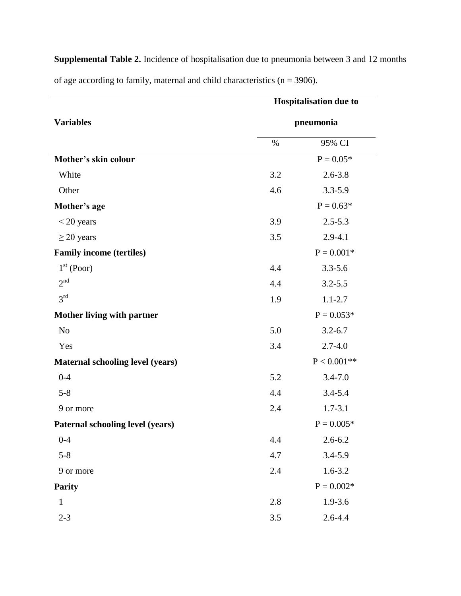|                                         | <b>Hospitalisation due to</b> |               |  |
|-----------------------------------------|-------------------------------|---------------|--|
| <b>Variables</b>                        | pneumonia                     |               |  |
|                                         | %                             | 95% CI        |  |
| Mother's skin colour                    |                               | $P = 0.05*$   |  |
| White                                   | 3.2                           | $2.6 - 3.8$   |  |
| Other                                   | 4.6                           | $3.3 - 5.9$   |  |
| Mother's age                            |                               | $P = 0.63*$   |  |
| $<$ 20 years                            | 3.9                           | $2.5 - 5.3$   |  |
| $\geq$ 20 years                         | 3.5                           | $2.9 - 4.1$   |  |
| <b>Family income (tertiles)</b>         |                               | $P = 0.001*$  |  |
| $1st$ (Poor)                            | 4.4                           | $3.3 - 5.6$   |  |
| 2 <sup>nd</sup>                         | 4.4                           | $3.2 - 5.5$   |  |
| 3 <sup>rd</sup>                         | 1.9                           | $1.1 - 2.7$   |  |
| <b>Mother living with partner</b>       |                               | $P = 0.053*$  |  |
| N <sub>o</sub>                          | 5.0                           | $3.2 - 6.7$   |  |
| Yes                                     | 3.4                           | $2.7 - 4.0$   |  |
| <b>Maternal schooling level (years)</b> |                               | $P < 0.001**$ |  |
| $0 - 4$                                 | 5.2                           | $3.4 - 7.0$   |  |
| $5 - 8$                                 | 4.4                           | $3.4 - 5.4$   |  |
| 9 or more                               | 2.4                           | $1.7 - 3.1$   |  |
| Paternal schooling level (years)        |                               | $P = 0.005*$  |  |
| $0 - 4$                                 | 4.4                           | $2.6 - 6.2$   |  |
| $5 - 8$                                 | 4.7                           | $3.4 - 5.9$   |  |
| 9 or more                               | 2.4                           | $1.6 - 3.2$   |  |
| <b>Parity</b>                           |                               | $P = 0.002*$  |  |
| $\mathbf{1}$                            | 2.8                           | $1.9 - 3.6$   |  |
| $2 - 3$                                 | $3.5$                         | $2.6 - 4.4$   |  |

**Supplemental Table 2.** Incidence of hospitalisation due to pneumonia between 3 and 12 months of age according to family, maternal and child characteristics  $(n = 3906)$ .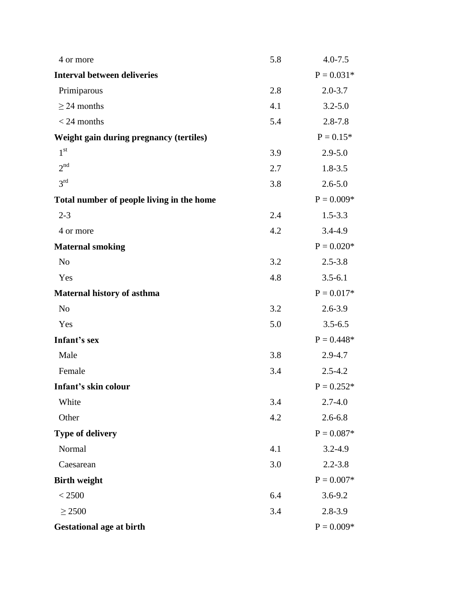| 4 or more                                 | 5.8 | $4.0 - 7.5$  |
|-------------------------------------------|-----|--------------|
| <b>Interval between deliveries</b>        |     | $P = 0.031*$ |
| Primiparous                               | 2.8 | $2.0 - 3.7$  |
| $\geq$ 24 months                          | 4.1 | $3.2 - 5.0$  |
| $<$ 24 months                             | 5.4 | $2.8 - 7.8$  |
| Weight gain during pregnancy (tertiles)   |     | $P = 0.15*$  |
| 1 <sup>st</sup>                           | 3.9 | $2.9 - 5.0$  |
| 2 <sup>nd</sup>                           | 2.7 | $1.8 - 3.5$  |
| 3 <sup>rd</sup>                           | 3.8 | $2.6 - 5.0$  |
| Total number of people living in the home |     | $P = 0.009*$ |
| $2 - 3$                                   | 2.4 | $1.5 - 3.3$  |
| 4 or more                                 | 4.2 | $3.4 - 4.9$  |
| <b>Maternal smoking</b>                   |     | $P = 0.020*$ |
| N <sub>o</sub>                            | 3.2 | $2.5 - 3.8$  |
| Yes                                       | 4.8 | $3.5 - 6.1$  |
| <b>Maternal history of asthma</b>         |     | $P = 0.017*$ |
| N <sub>o</sub>                            | 3.2 | $2.6 - 3.9$  |
| Yes                                       | 5.0 | $3.5 - 6.5$  |
| Infant's sex                              |     | $P = 0.448*$ |
| Male                                      | 3.8 | 2.9-4.7      |
| Female                                    | 3.4 | $2.5 - 4.2$  |
| Infant's skin colour                      |     | $P = 0.252*$ |
| White                                     | 3.4 | $2.7 - 4.0$  |
| Other                                     | 4.2 | $2.6 - 6.8$  |
| <b>Type of delivery</b>                   |     | $P = 0.087*$ |
| Normal                                    | 4.1 | $3.2 - 4.9$  |
| Caesarean                                 | 3.0 | $2.2 - 3.8$  |
| <b>Birth weight</b>                       |     | $P = 0.007*$ |
| < 2500                                    | 6.4 | $3.6 - 9.2$  |
| $\geq$ 2500                               | 3.4 | $2.8 - 3.9$  |
| <b>Gestational age at birth</b>           |     | $P = 0.009*$ |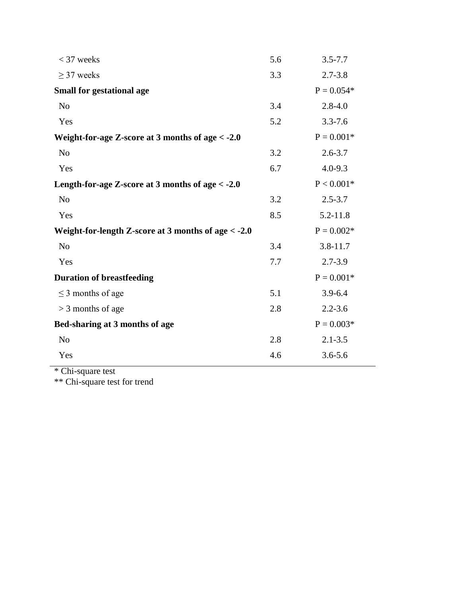| $<$ 37 weeks                                          | 5.6 | $3.5 - 7.7$  |
|-------------------------------------------------------|-----|--------------|
| $\geq$ 37 weeks                                       | 3.3 | $2.7 - 3.8$  |
| <b>Small for gestational age</b>                      |     | $P = 0.054*$ |
| N <sub>o</sub>                                        | 3.4 | $2.8 - 4.0$  |
| Yes                                                   | 5.2 | $3.3 - 7.6$  |
| Weight-for-age Z-score at 3 months of age < - 2.0     |     | $P = 0.001*$ |
| N <sub>0</sub>                                        | 3.2 | $2.6 - 3.7$  |
| Yes                                                   | 6.7 | $4.0 - 9.3$  |
| Length-for-age Z-score at 3 months of age < -2.0      |     | $P < 0.001*$ |
| N <sub>o</sub>                                        | 3.2 | $2.5 - 3.7$  |
| Yes                                                   | 8.5 | $5.2 - 11.8$ |
| Weight-for-length Z-score at 3 months of age $<$ -2.0 |     | $P = 0.002*$ |
| N <sub>o</sub>                                        | 3.4 | $3.8 - 11.7$ |
| Yes                                                   | 7.7 | $2.7 - 3.9$  |
| <b>Duration of breastfeeding</b>                      |     | $P = 0.001*$ |
| $\leq$ 3 months of age                                | 5.1 | $3.9 - 6.4$  |
| $>$ 3 months of age                                   | 2.8 | $2.2 - 3.6$  |
| Bed-sharing at 3 months of age                        |     | $P = 0.003*$ |
| N <sub>o</sub>                                        | 2.8 | $2.1 - 3.5$  |
| Yes                                                   | 4.6 | $3.6 - 5.6$  |
|                                                       |     |              |

\* Chi-square test

\*\* Chi-square test for trend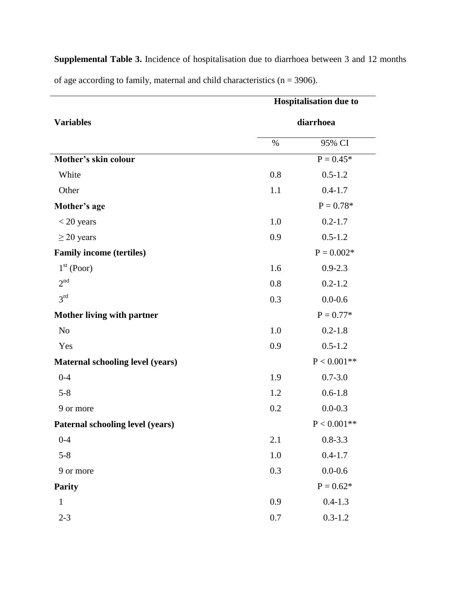|                                         | <b>Hospitalisation due to</b> |               |  |
|-----------------------------------------|-------------------------------|---------------|--|
| <b>Variables</b>                        | diarrhoea                     |               |  |
|                                         | %                             | 95% CI        |  |
| Mother's skin colour                    |                               | $P = 0.45*$   |  |
| White                                   | 0.8                           | $0.5 - 1.2$   |  |
| Other                                   | 1.1                           | $0.4 - 1.7$   |  |
| Mother's age                            |                               | $P = 0.78*$   |  |
| $<$ 20 years                            | 1.0                           | $0.2 - 1.7$   |  |
| $\geq$ 20 years                         | 0.9                           | $0.5 - 1.2$   |  |
| <b>Family income (tertiles)</b>         |                               | $P = 0.002*$  |  |
| $1st$ (Poor)                            | 1.6                           | $0.9 - 2.3$   |  |
| 2 <sup>nd</sup>                         | 0.8                           | $0.2 - 1.2$   |  |
| 3 <sup>rd</sup>                         | 0.3                           | $0.0 - 0.6$   |  |
| <b>Mother living with partner</b>       |                               | $P = 0.77*$   |  |
| N <sub>o</sub>                          | 1.0                           | $0.2 - 1.8$   |  |
| Yes                                     | 0.9                           | $0.5 - 1.2$   |  |
| <b>Maternal schooling level (years)</b> |                               | $P < 0.001**$ |  |
| $0 - 4$                                 | 1.9                           | $0.7 - 3.0$   |  |
| $5 - 8$                                 | 1.2                           | $0.6 - 1.8$   |  |
| 9 or more                               | 0.2                           | $0.0 - 0.3$   |  |
| Paternal schooling level (years)        |                               | $P < 0.001**$ |  |
| $0 - 4$                                 | 2.1                           | $0.8 - 3.3$   |  |
| $5 - 8$                                 | 1.0                           | $0.4 - 1.7$   |  |
| 9 or more                               | 0.3                           | $0.0 - 0.6$   |  |
| <b>Parity</b>                           |                               | $P = 0.62*$   |  |
| $\mathbf{1}$                            | 0.9                           | $0.4 - 1.3$   |  |
| $2 - 3$                                 | 0.7                           | $0.3 - 1.2$   |  |

**Supplemental Table 3.** Incidence of hospitalisation due to diarrhoea between 3 and 12 months of age according to family, maternal and child characteristics  $(n = 3906)$ .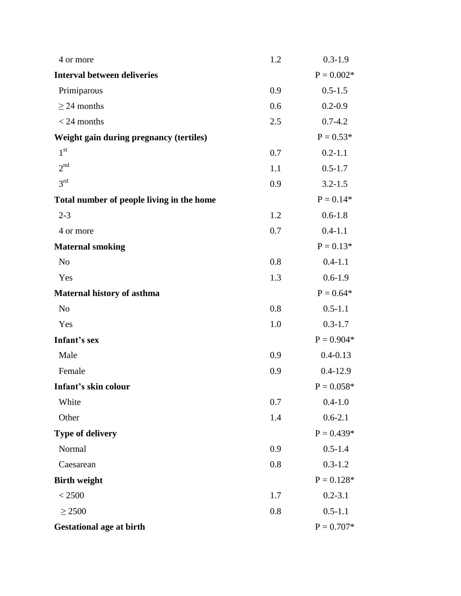| 4 or more                                 | 1.2 | $0.3 - 1.9$  |
|-------------------------------------------|-----|--------------|
| <b>Interval between deliveries</b>        |     | $P = 0.002*$ |
| Primiparous                               | 0.9 | $0.5 - 1.5$  |
| $\geq$ 24 months                          | 0.6 | $0.2 - 0.9$  |
| $<$ 24 months                             | 2.5 | $0.7 - 4.2$  |
| Weight gain during pregnancy (tertiles)   |     | $P = 0.53*$  |
| 1 <sup>st</sup>                           | 0.7 | $0.2 - 1.1$  |
| 2 <sup>nd</sup>                           | 1.1 | $0.5 - 1.7$  |
| 3 <sup>rd</sup>                           | 0.9 | $3.2 - 1.5$  |
| Total number of people living in the home |     | $P = 0.14*$  |
| $2 - 3$                                   | 1.2 | $0.6 - 1.8$  |
| 4 or more                                 | 0.7 | $0.4 - 1.1$  |
| <b>Maternal smoking</b>                   |     | $P = 0.13*$  |
| N <sub>o</sub>                            | 0.8 | $0.4 - 1.1$  |
| Yes                                       | 1.3 | $0.6 - 1.9$  |
| Maternal history of asthma                |     | $P = 0.64*$  |
| N <sub>o</sub>                            | 0.8 | $0.5 - 1.1$  |
| Yes                                       | 1.0 | $0.3 - 1.7$  |
| Infant's sex                              |     | $P = 0.904*$ |
| Male                                      | 0.9 | $0.4 - 0.13$ |
| Female                                    | 0.9 | $0.4 - 12.9$ |
| Infant's skin colour                      |     | $P = 0.058*$ |
| White                                     | 0.7 | $0.4 - 1.0$  |
| Other                                     | 1.4 | $0.6 - 2.1$  |
| <b>Type of delivery</b>                   |     | $P = 0.439*$ |
| Normal                                    | 0.9 | $0.5 - 1.4$  |
| Caesarean                                 | 0.8 | $0.3 - 1.2$  |
| <b>Birth weight</b>                       |     | $P = 0.128*$ |
| < 2500                                    | 1.7 | $0.2 - 3.1$  |
| $\geq$ 2500                               | 0.8 | $0.5 - 1.1$  |
| <b>Gestational age at birth</b>           |     | $P = 0.707*$ |